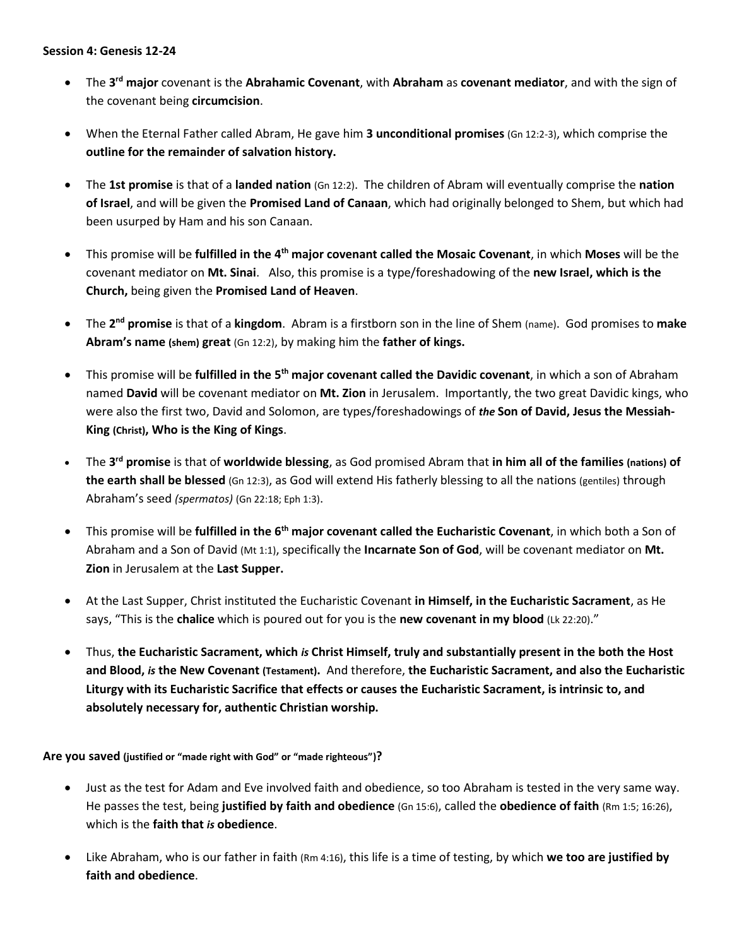- The **3 rd major** covenant is the **Abrahamic Covenant**, with **Abraham** as **covenant mediator**, and with the sign of the covenant being **circumcision**.
- When the Eternal Father called Abram, He gave him **3 unconditional promises** (Gn 12:2-3), which comprise the **outline for the remainder of salvation history.**
- The **1st promise** is that of a **landed nation** (Gn 12:2). The children of Abram will eventually comprise the **nation of Israel**, and will be given the **Promised Land of Canaan**, which had originally belonged to Shem, but which had been usurped by Ham and his son Canaan.
- This promise will be **fulfilled in the 4 th major covenant called the Mosaic Covenant**, in which **Moses** will be the covenant mediator on **Mt. Sinai**. Also, this promise is a type/foreshadowing of the **new Israel, which is the Church,** being given the **Promised Land of Heaven**.
- The **2 nd promise** is that of a **kingdom**. Abram is a firstborn son in the line of Shem (name). God promises to **make Abram's name (shem) great** (Gn 12:2), by making him the **father of kings.**
- This promise will be **fulfilled in the 5 th major covenant called the Davidic covenant**, in which a son of Abraham named **David** will be covenant mediator on **Mt. Zion** in Jerusalem. Importantly, the two great Davidic kings, who were also the first two, David and Solomon, are types/foreshadowings of *the* **Son of David, Jesus the Messiah-King (Christ), Who is the King of Kings**.
- The **3 rd promise** is that of **worldwide blessing**, as God promised Abram that **in him all of the families (nations) of the earth shall be blessed** (Gn 12:3), as God will extend His fatherly blessing to all the nations (gentiles) through Abraham's seed *(spermatos)* (Gn 22:18; Eph 1:3).
- **•** This promise will be fulfilled in the 6<sup>th</sup> major covenant called the Eucharistic Covenant, in which both a Son of Abraham and a Son of David (Mt 1:1), specifically the **Incarnate Son of God**, will be covenant mediator on **Mt. Zion** in Jerusalem at the **Last Supper.**
- At the Last Supper, Christ instituted the Eucharistic Covenant **in Himself, in the Eucharistic Sacrament**, as He says, "This is the **chalice** which is poured out for you is the **new covenant in my blood** (Lk 22:20)."
- Thus, **the Eucharistic Sacrament, which** *is* **Christ Himself, truly and substantially present in the both the Host and Blood,** *is* **the New Covenant (Testament).** And therefore, **the Eucharistic Sacrament, and also the Eucharistic Liturgy with its Eucharistic Sacrifice that effects or causes the Eucharistic Sacrament, is intrinsic to, and absolutely necessary for, authentic Christian worship.**

**Are you saved (justified or "made right with God" or "made righteous")?**

- Just as the test for Adam and Eve involved faith and obedience, so too Abraham is tested in the very same way. He passes the test, being **justified by faith and obedience** (Gn 15:6), called the **obedience of faith** (Rm 1:5; 16:26), which is the **faith that** *is* **obedience**.
- Like Abraham, who is our father in faith (Rm 4:16), this life is a time of testing, by which **we too are justified by faith and obedience**.